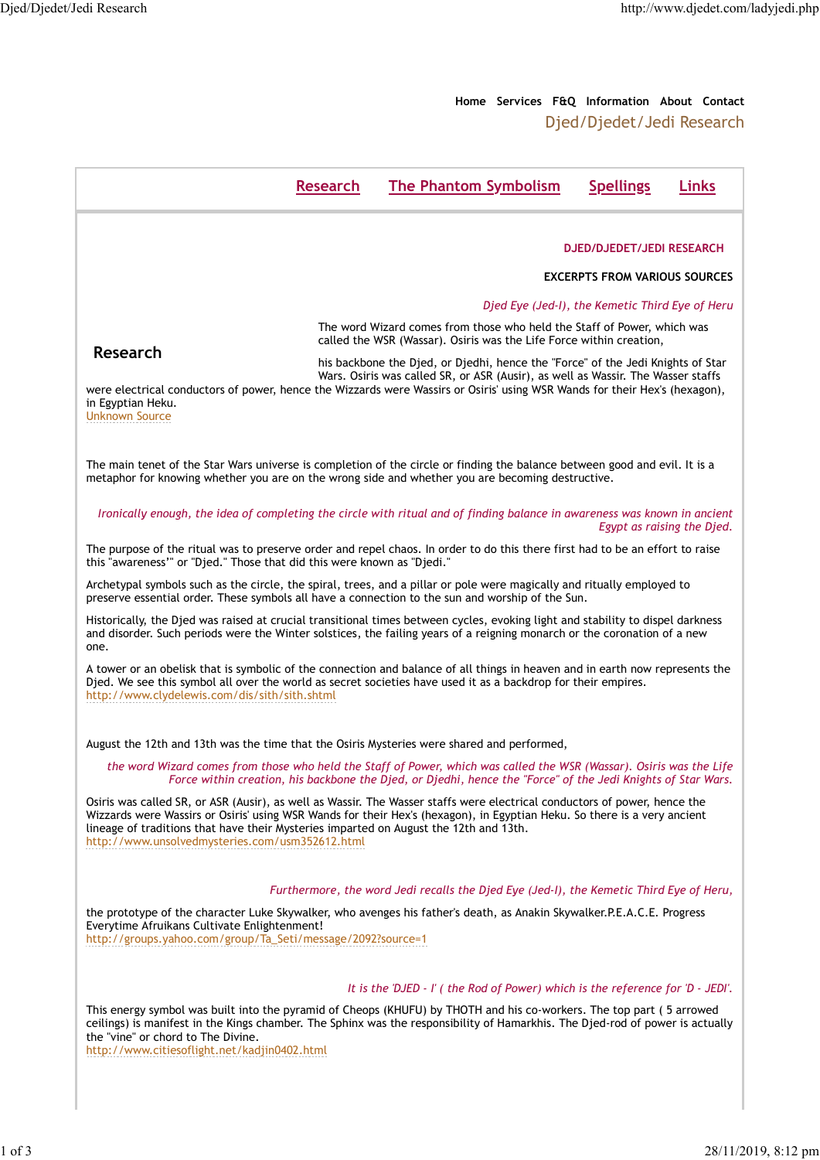Djed/Djedet/Jedi Research

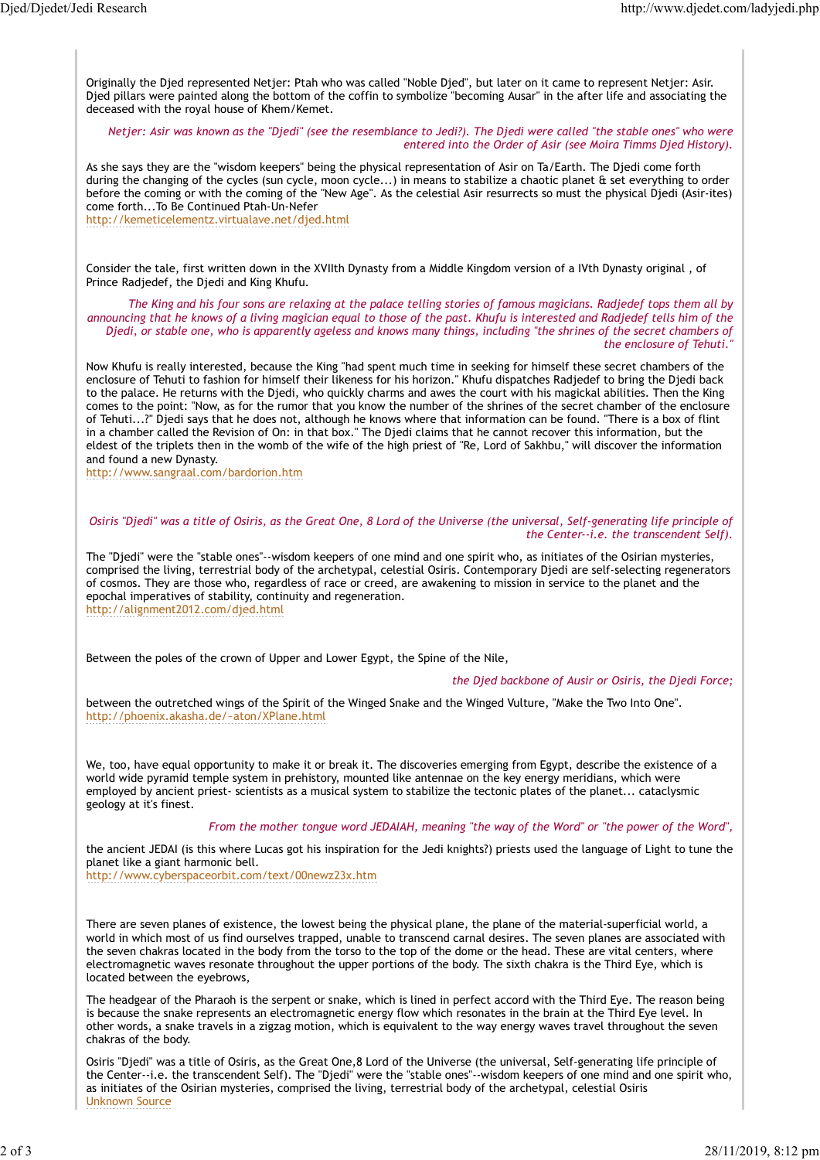Originally the Djed represented Netjer: Ptah who was called "Noble Djed", but later on it came to represent Netjer: Asir. Djed pillars were painted along the bottom of the coffin to symbolize "becoming Ausar" in the after life and associating the deceased with the royal house of Khem/Kemet. Djed/Djedet/Jedi Research<br>http://www.djedet.com/ladyjedi.php<br>Originally the Djed represented Netjer: Ptah who was called "Noble Djed", but later on it came to represent Netjer: Asir.<br>Died pillars were painted along the bot

Netjer: Asir was known as the "Djedi" (see the resemblance to Jedi?). The Djedi were called "the stable ones" who were entered into the Order of Asir (see Moira Timms Djed History).

As she says they are the "wisdom keepers" being the physical representation of Asir on Ta/Earth. The Djedi come forth during the changing of the cycles (sun cycle, moon cycle...) in means to stabilize a chaotic planet & set everything to order before the coming or with the coming of the "New Age". As the celestial Asir resurrects so must the physical Djedi (Asir-ites) come forth...To Be Continued Ptah-Un-Nefer

http://kemeticelementz.virtualave.net/djed.html

Consider the tale, first written down in the XVIIth Dynasty from a Middle Kingdom version of a IVth Dynasty original , of Prince Radjedef, the Djedi and King Khufu.

The King and his four sons are relaxing at the palace telling stories of famous magicians. Radjedef tops them all by announcing that he knows of a living magician equal to those of the past. Khufu is interested and Radjedef tells him of the Djedi, or stable one, who is apparently ageless and knows many things, including "the shrines of the secret chambers of the enclosure of Tehuti."

Now Khufu is really interested, because the King "had spent much time in seeking for himself these secret chambers of the enclosure of Tehuti to fashion for himself their likeness for his horizon." Khufu dispatches Radjedef to bring the Djedi back to the palace. He returns with the Djedi, who quickly charms and awes the court with his magickal abilities. Then the King comes to the point: "Now, as for the rumor that you know the number of the shrines of the secret chamber of the enclosure of Tehuti...?" Djedi says that he does not, although he knows where that information can be found. "There is a box of flint in a chamber called the Revision of On: in that box." The Djedi claims that he cannot recover this information, but the eldest of the triplets then in the womb of the wife of the high priest of "Re, Lord of Sakhbu," will discover the information and found a new Dynasty.

http://www.sangraal.com/bardorion.htm

## Osiris "Djedi" was a title of Osiris, as the Great One, 8 Lord of the Universe (the universal, Self-generating life principle of the Center--i.e. the transcendent Self).

The "Djedi" were the "stable ones"--wisdom keepers of one mind and one spirit who, as initiates of the Osirian mysteries, comprised the living, terrestrial body of the archetypal, celestial Osiris. Contemporary Djedi are self-selecting regenerators of cosmos. They are those who, regardless of race or creed, are awakening to mission in service to the planet and the epochal imperatives of stability, continuity and regeneration. http://alignment2012.com/djed.html

Between the poles of the crown of Upper and Lower Egypt, the Spine of the Nile,

## the Djed backbone of Ausir or Osiris, the Djedi Force;

between the outretched wings of the Spirit of the Winged Snake and the Winged Vulture, "Make the Two Into One". http://phoenix.akasha.de/~aton/XPlane.html

We, too, have equal opportunity to make it or break it. The discoveries emerging from Egypt, describe the existence of a world wide pyramid temple system in prehistory, mounted like antennae on the key energy meridians, which were employed by ancient priest- scientists as a musical system to stabilize the tectonic plates of the planet... cataclysmic geology at it's finest.

## From the mother tongue word JEDAIAH, meaning "the way of the Word" or "the power of the Word",

the ancient JEDAI (is this where Lucas got his inspiration for the Jedi knights?) priests used the language of Light to tune the planet like a giant harmonic bell.

http://www.cyberspaceorbit.com/text/00newz23x.htm

There are seven planes of existence, the lowest being the physical plane, the plane of the material-superficial world, a world in which most of us find ourselves trapped, unable to transcend carnal desires. The seven planes are associated with the seven chakras located in the body from the torso to the top of the dome or the head. These are vital centers, where electromagnetic waves resonate throughout the upper portions of the body. The sixth chakra is the Third Eye, which is located between the eyebrows,

The headgear of the Pharaoh is the serpent or snake, which is lined in perfect accord with the Third Eye. The reason being is because the snake represents an electromagnetic energy flow which resonates in the brain at the Third Eye level. In other words, a snake travels in a zigzag motion, which is equivalent to the way energy waves travel throughout the seven chakras of the body.

Osiris "Djedi" was a title of Osiris, as the Great One,8 Lord of the Universe (the universal, Self-generating life principle of the Center--i.e. the transcendent Self). The "Djedi" were the "stable ones"--wisdom keepers of one mind and one spirit who, as initiates of the Osirian mysteries, comprised the living, terrestrial body of the archetypal, celestial Osiris Unknown Source